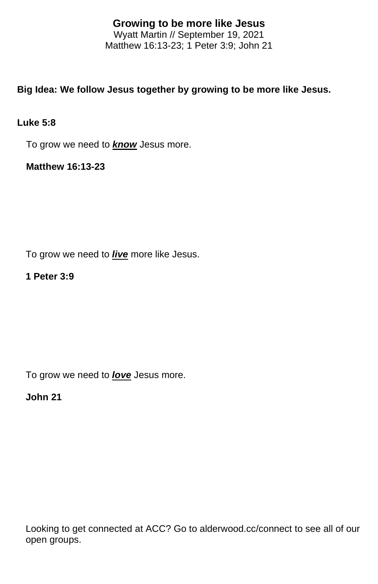# **Growing to be more like Jesus**

Wyatt Martin // September 19, 2021 Matthew 16:13-23; 1 Peter 3:9; John 21

## **Big Idea: We follow Jesus together by growing to be more like Jesus.**

#### **Luke 5:8**

To grow we need to *know* Jesus more.

**Matthew 16:13-23**

To grow we need to *live* more like Jesus.

#### **1 Peter 3:9**

To grow we need to *love* Jesus more.

### **John 21**

Looking to get connected at ACC? Go to alderwood.cc/connect to see all of our open groups.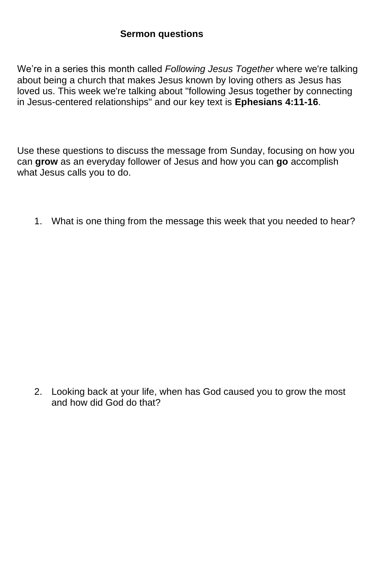We're in a series this month called *Following Jesus Together* where we're talking about being a church that makes Jesus known by loving others as Jesus has loved us. This week we're talking about "following Jesus together by connecting in Jesus-centered relationships" and our key text is **Ephesians 4:11-16**.

Use these questions to discuss the message from Sunday, focusing on how you can **grow** as an everyday follower of Jesus and how you can **go** accomplish what Jesus calls you to do.

1. What is one thing from the message this week that you needed to hear?

2. Looking back at your life, when has God caused you to grow the most and how did God do that?